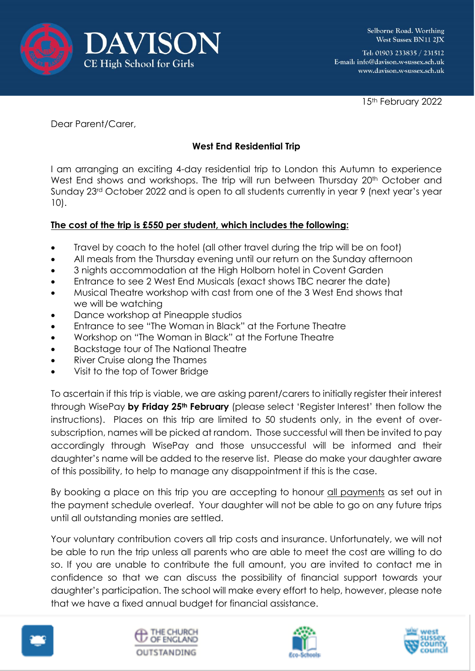

Tel: 01903 233835 / 231512 E-mail: info@davison.w-sussex.sch.uk www.davison.w-sussex.sch.uk

15th February 2022

Dear Parent/Carer,

## **West End Residential Trip**

I am arranging an exciting 4-day residential trip to London this Autumn to experience West End shows and workshops. The trip will run between Thursday 20<sup>th</sup> October and Sunday 23rd October 2022 and is open to all students currently in year 9 (next year's year 10).

## **The cost of the trip is £550 per student, which includes the following:**

- Travel by coach to the hotel (all other travel during the trip will be on foot)
- All meals from the Thursday evening until our return on the Sunday afternoon
- 3 nights accommodation at the High Holborn hotel in Covent Garden
- Entrance to see 2 West End Musicals (exact shows TBC nearer the date)
- Musical Theatre workshop with cast from one of the 3 West End shows that we will be watching
- Dance workshop at Pineapple studios
- Entrance to see "The Woman in Black" at the Fortune Theatre
- Workshop on "The Woman in Black" at the Fortune Theatre
- Backstage tour of The National Theatre
- River Cruise along the Thames
- Visit to the top of Tower Bridge

To ascertain if this trip is viable, we are asking parent/carers to initially register their interest through WisePay **by Friday 25th February** (please select 'Register Interest' then follow the instructions). Places on this trip are limited to 50 students only, in the event of oversubscription, names will be picked at random. Those successful will then be invited to pay accordingly through WisePay and those unsuccessful will be informed and their daughter's name will be added to the reserve list. Please do make your daughter aware of this possibility, to help to manage any disappointment if this is the case.

By booking a place on this trip you are accepting to honour all payments as set out in the payment schedule overleaf. Your daughter will not be able to go on any future trips until all outstanding monies are settled.

Your voluntary contribution covers all trip costs and insurance. Unfortunately, we will not be able to run the trip unless all parents who are able to meet the cost are willing to do so. If you are unable to contribute the full amount, you are invited to contact me in confidence so that we can discuss the possibility of financial support towards your daughter's participation. The school will make every effort to help, however, please note that we have a fixed annual budget for financial assistance.